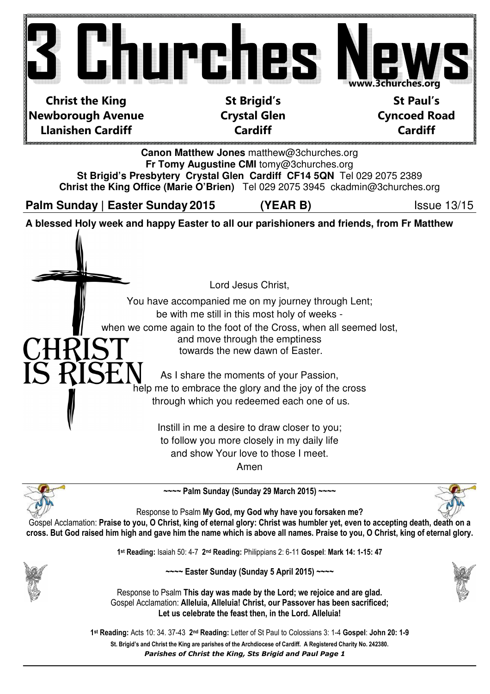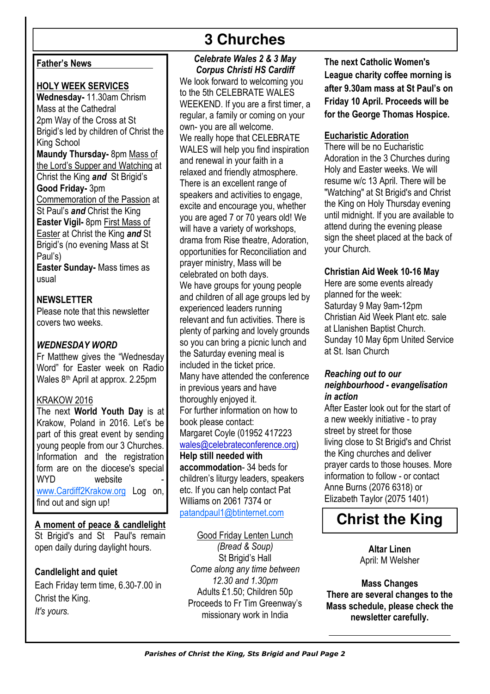# **3 Churches**

# Father's News

### HOLY WEEK SERVICES

Wednesday- 11.30am Chrism Mass at the Cathedral 2pm Way of the Cross at St Brigid's led by children of Christ the King School Maundy Thursday- 8pm Mass of the Lord's Supper and Watching at Christ the King and St Brigid's Good Friday- 3pm Commemoration of the Passion at St Paul's **and** Christ the King Easter Vigil- 8pm First Mass of Easter at Christ the King and St Brigid's (no evening Mass at St Paul's)

Easter Sunday- Mass times as usual

NEWSLETTER Please note that this newsletter covers two weeks.

### WEDNESDAY WORD

Fr Matthew gives the "Wednesday Word" for Easter week on Radio Wales 8th April at approx. 2.25pm

#### KRAKOW 2016

The next World Youth Day is at Krakow, Poland in 2016. Let's be part of this great event by sending young people from our 3 Churches. Information and the registration form are on the diocese's special WYD website www.Cardiff2Krakow.org Log on, find out and sign up!

A moment of peace & candlelight St Brigid's and St Paul's remain open daily during daylight hours.

## Candlelight and quiet

Each Friday term time, 6.30-7.00 in Christ the King. It's yours.

# Celebrate Wales 2 & 3 May Corpus Christi HS Cardiff

We look forward to welcoming you to the 5th CELEBRATE WALES WEEKEND. If you are a first timer, a regular, a family or coming on your own- you are all welcome. We really hope that CELEBRATE WALES will help you find inspiration and renewal in your faith in a relaxed and friendly atmosphere. There is an excellent range of speakers and activities to engage. excite and encourage you, whether you are aged 7 or 70 years old! We will have a variety of workshops, drama from Rise theatre, Adoration, opportunities for Reconciliation and prayer ministry, Mass will be celebrated on both days. We have groups for young people and children of all age groups led by experienced leaders running relevant and fun activities. There is plenty of parking and lovely grounds so you can bring a picnic lunch and the Saturday evening meal is included in the ticket price. Many have attended the conference in previous years and have thoroughly enjoyed it. For further information on how to book please contact: Margaret Coyle (01952 417223 wales@celebrateconference.org) Help still needed with accommodation- 34 beds for children's liturgy leaders, speakers

etc. If you can help contact Pat Williams on 2061 7374 or patandpaul1@btinternet.com

#### Good Friday Lenten Lunch

(Bread & Soup) St Brigid's Hall Come along any time between 12.30 and 1.30pm Adults £1.50; Children 50p Proceeds to Fr Tim Greenway's missionary work in India

The next Catholic Women's League charity coffee morning is after 9.30am mass at St Paul's on Friday 10 April. Proceeds will be for the George Thomas Hospice.

### Eucharistic Adoration

There will be no Eucharistic Adoration in the 3 Churches during Holy and Easter weeks. We will resume w/c 13 April. There will be "Watching" at St Brigid's and Christ the King on Holy Thursday evening until midnight. If you are available to attend during the evening please sign the sheet placed at the back of your Church.

### Christian Aid Week 10-16 May

Here are some events already planned for the week: Saturday 9 May 9am-12pm Christian Aid Week Plant etc. sale at Llanishen Baptist Church. Sunday 10 May 6pm United Service at St. Isan Church

### Reaching out to our neighbourhood - evangelisation in action

After Easter look out for the start of a new weekly initiative - to pray street by street for those living close to St Brigid's and Christ the King churches and deliver prayer cards to those houses. More information to follow - or contact Anne Burns (2076 6318) or Elizabeth Taylor (2075 1401)

# **Christ the King**

Altar Linen April: M Welsher

Mass Changes There are several changes to the Mass schedule, please check the newsletter carefully.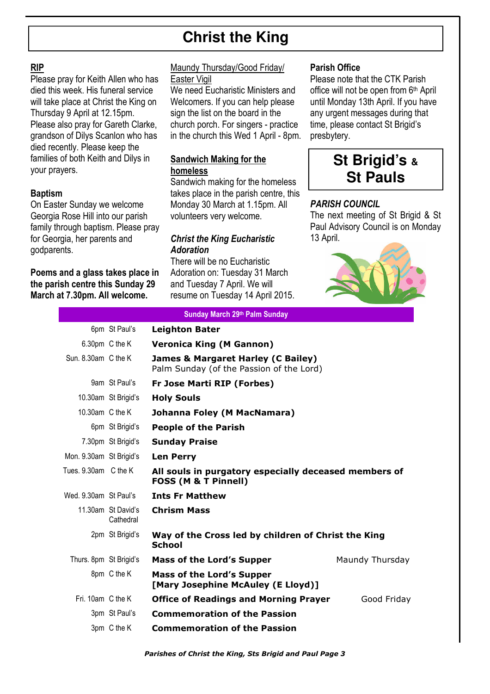# **Christ the King**

## RIP

Please pray for Keith Allen who has died this week. His funeral service will take place at Christ the King on Thursday 9 April at 12.15pm. Please also pray for Gareth Clarke, grandson of Dilys Scanlon who has died recently. Please keep the families of both Keith and Dilys in your prayers.

## Baptism

On Easter Sunday we welcome Georgia Rose Hill into our parish family through baptism. Please pray for Georgia, her parents and godparents.

### Poems and a glass takes place in the parish centre this Sunday 29 March at 7.30pm. All welcome.

#### Maundy Thursday/Good Friday/ Easter Vigil

We need Eucharistic Ministers and Welcomers. If you can help please sign the list on the board in the church porch. For singers - practice in the church this Wed 1 April - 8pm.

# Sandwich Making for the homeless

Sandwich making for the homeless takes place in the parish centre, this Monday 30 March at 1.15pm. All volunteers very welcome.

# Christ the King Eucharistic Adoration

There will be no Eucharistic Adoration on: Tuesday 31 March and Tuesday 7 April. We will resume on Tuesday 14 April 2015.

# Parish Office

Please note that the CTK Parish office will not be open from 6th April until Monday 13th April. If you have any urgent messages during that time, please contact St Brigid's presbytery.



## PARISH COUNCIL

The next meeting of St Brigid & St Paul Advisory Council is on Monday 13 April.



| Sunday March 29th Palm Sunday |                                 |                                                                                           |                 |  |  |  |
|-------------------------------|---------------------------------|-------------------------------------------------------------------------------------------|-----------------|--|--|--|
|                               | 6pm St Paul's                   | <b>Leighton Bater</b>                                                                     |                 |  |  |  |
|                               | 6.30pm C the K                  | <b>Veronica King (M Gannon)</b>                                                           |                 |  |  |  |
| Sun. 8.30am C the K           |                                 | <b>James &amp; Margaret Harley (C Bailey)</b><br>Palm Sunday (of the Passion of the Lord) |                 |  |  |  |
|                               | 9am St Paul's                   | Fr Jose Marti RIP (Forbes)                                                                |                 |  |  |  |
|                               | 10.30am St Brigid's             | <b>Holy Souls</b>                                                                         |                 |  |  |  |
| 10.30am C the K               |                                 | Johanna Foley (M MacNamara)                                                               |                 |  |  |  |
|                               | 6pm St Brigid's                 | <b>People of the Parish</b>                                                               |                 |  |  |  |
|                               | 7.30pm St Brigid's              | <b>Sunday Praise</b>                                                                      |                 |  |  |  |
| Mon. 9.30am St Brigid's       |                                 | <b>Len Perry</b>                                                                          |                 |  |  |  |
| Tues. 9.30am C the K          |                                 | All souls in purgatory especially deceased members of<br><b>FOSS (M &amp; T Pinnell)</b>  |                 |  |  |  |
| Wed. 9.30am St Paul's         |                                 | <b>Ints Fr Matthew</b>                                                                    |                 |  |  |  |
|                               | 11.30am St David's<br>Cathedral | <b>Chrism Mass</b>                                                                        |                 |  |  |  |
|                               | 2pm St Brigid's                 | Way of the Cross led by children of Christ the King<br><b>School</b>                      |                 |  |  |  |
| Thurs. 8pm St Brigid's        |                                 | <b>Mass of the Lord's Supper</b>                                                          | Maundy Thursday |  |  |  |
|                               | 8pm C the K                     | <b>Mass of the Lord's Supper</b><br>[Mary Josephine McAuley (E Lloyd)]                    |                 |  |  |  |
| Fri. 10am C the K             |                                 | <b>Office of Readings and Morning Prayer</b>                                              | Good Friday     |  |  |  |
|                               | 3pm St Paul's                   | <b>Commemoration of the Passion</b>                                                       |                 |  |  |  |
|                               | 3pm C the K                     | <b>Commemoration of the Passion</b>                                                       |                 |  |  |  |

Parishes of Christ the King, Sts Brigid and Paul Page 3